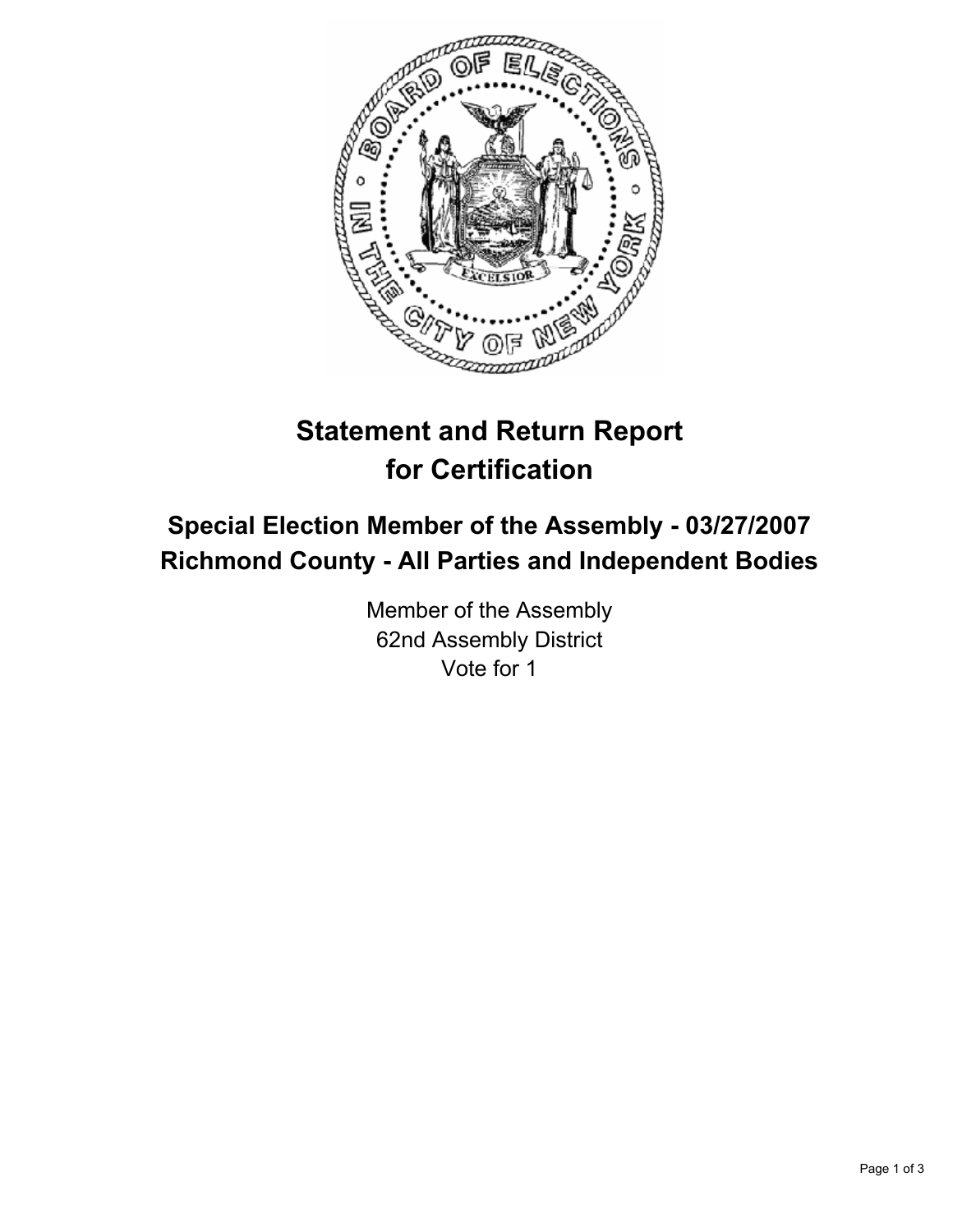

# **Statement and Return Report for Certification**

## **Special Election Member of the Assembly - 03/27/2007 Richmond County - All Parties and Independent Bodies**

Member of the Assembly 62nd Assembly District Vote for 1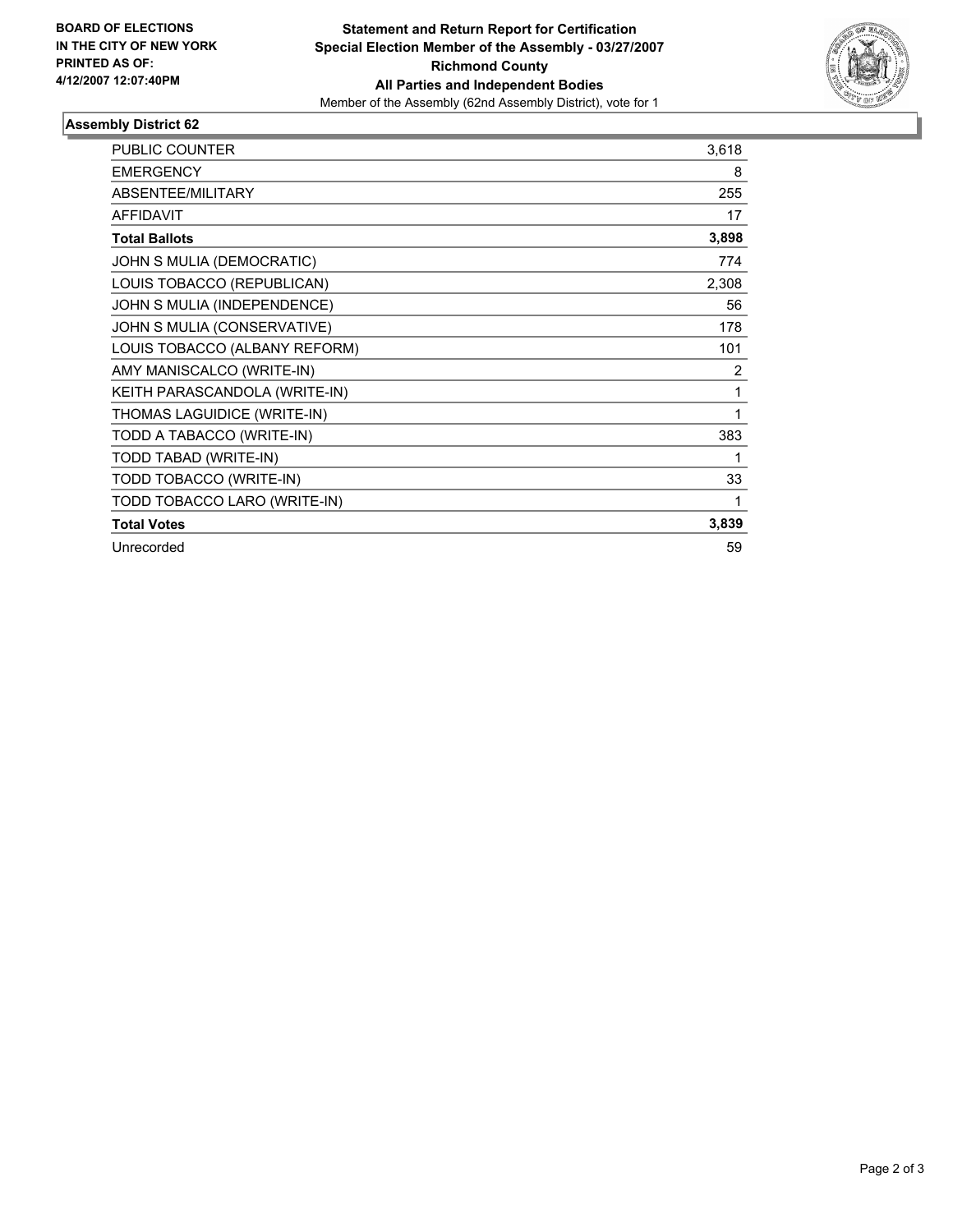

#### **Assembly District 62**

| <b>PUBLIC COUNTER</b>         | 3,618          |
|-------------------------------|----------------|
| <b>EMERGENCY</b>              | 8              |
| ABSENTEE/MILITARY             | 255            |
| <b>AFFIDAVIT</b>              | 17             |
| <b>Total Ballots</b>          | 3,898          |
| JOHN S MULIA (DEMOCRATIC)     | 774            |
| LOUIS TOBACCO (REPUBLICAN)    | 2,308          |
| JOHN S MULIA (INDEPENDENCE)   | 56             |
| JOHN S MULIA (CONSERVATIVE)   | 178            |
| LOUIS TOBACCO (ALBANY REFORM) | 101            |
| AMY MANISCALCO (WRITE-IN)     | $\overline{2}$ |
| KEITH PARASCANDOLA (WRITE-IN) | 1              |
| THOMAS LAGUIDICE (WRITE-IN)   | 1              |
| TODD A TABACCO (WRITE-IN)     | 383            |
| TODD TABAD (WRITE-IN)         |                |
| TODD TOBACCO (WRITE-IN)       | 33             |
| TODD TOBACCO LARO (WRITE-IN)  |                |
| <b>Total Votes</b>            | 3,839          |
| Unrecorded                    | 59             |